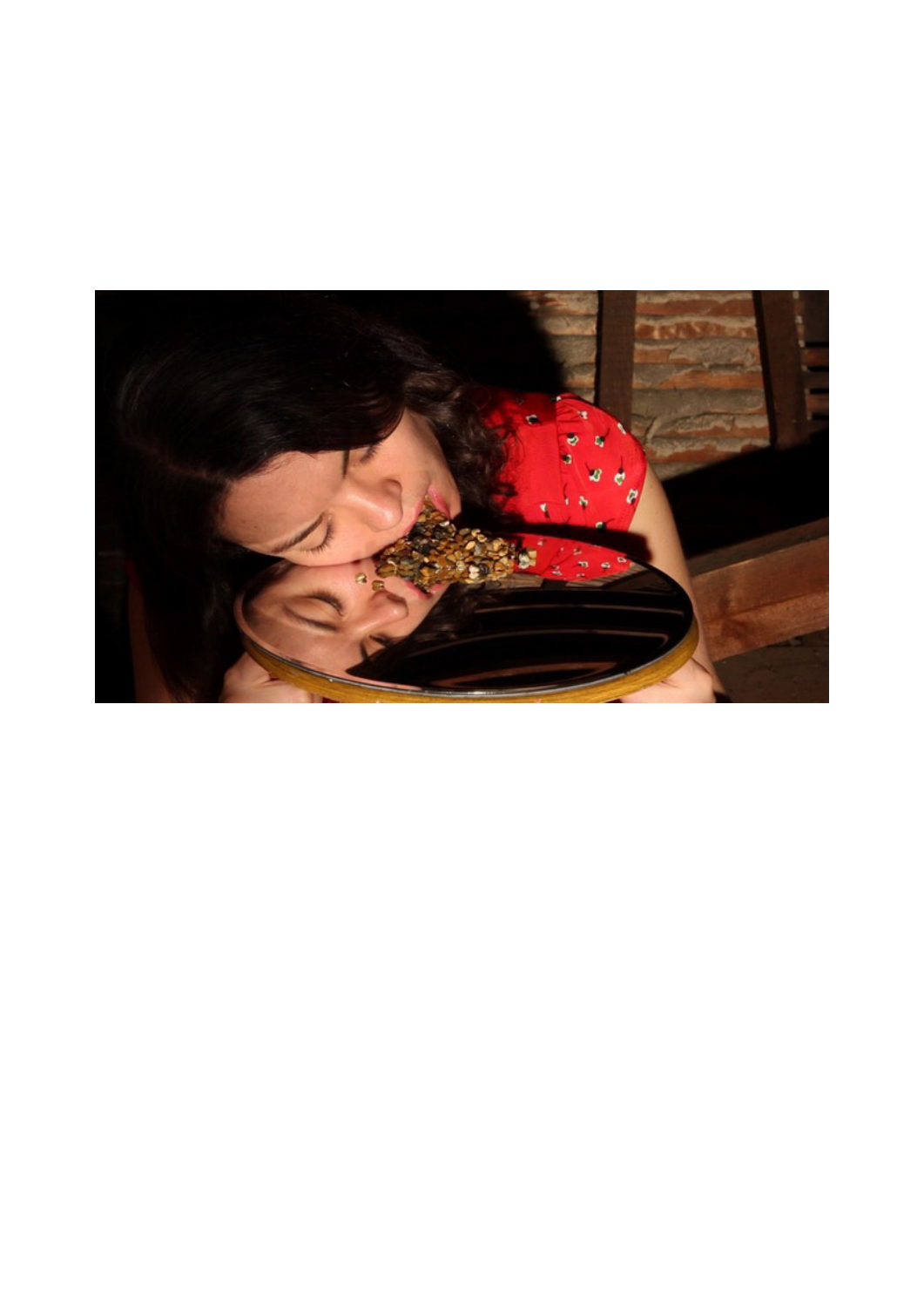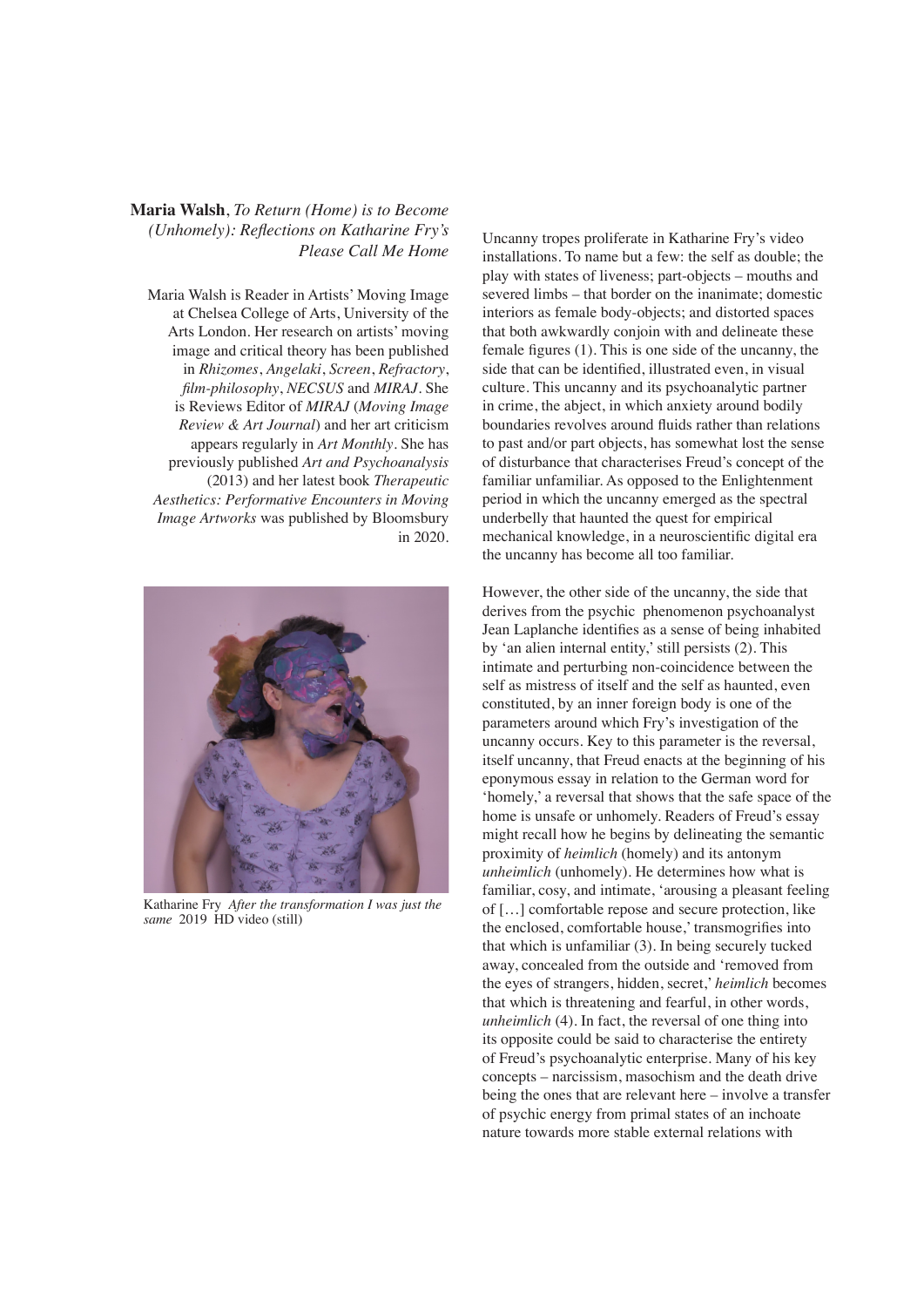**Maria Walsh**, *To Return (Home) is to Become (Unhomely): Reflections on Katharine Fry's Please Call Me Home*

Maria Walsh is Reader in Artists' Moving Image at Chelsea College of Arts, University of the Arts London. Her research on artists' moving image and critical theory has been published in *Rhizomes*, *Angelaki*, *Screen*, *Refractory*, *film-philosophy*, *NECSUS* and *MIRAJ*. She is Reviews Editor of *MIRAJ* (*Moving Image Review & Art Journal*) and her art criticism appears regularly in *Art Monthly*. She has previously published *Art and Psychoanalysis*  (2013) and her latest book *Therapeutic Aesthetics: Performative Encounters in Moving Image Artworks* was published by Bloomsbury in 2020.



Katharine Fry *After the transformation I was just the same* 2019 HD video (still)

Uncanny tropes proliferate in Katharine Fry's video installations. To name but a few: the self as double; the play with states of liveness; part-objects – mouths and severed limbs – that border on the inanimate; domestic interiors as female body-objects; and distorted spaces that both awkwardly conjoin with and delineate these female figures (1). This is one side of the uncanny, the side that can be identified, illustrated even, in visual culture. This uncanny and its psychoanalytic partner in crime, the abject, in which anxiety around bodily boundaries revolves around fluids rather than relations to past and/or part objects, has somewhat lost the sense of disturbance that characterises Freud's concept of the familiar unfamiliar. As opposed to the Enlightenment period in which the uncanny emerged as the spectral underbelly that haunted the quest for empirical mechanical knowledge, in a neuroscientific digital era the uncanny has become all too familiar.

However, the other side of the uncanny, the side that derives from the psychic phenomenon psychoanalyst Jean Laplanche identifies as a sense of being inhabited by 'an alien internal entity,' still persists (2). This intimate and perturbing non-coincidence between the self as mistress of itself and the self as haunted, even constituted, by an inner foreign body is one of the parameters around which Fry's investigation of the uncanny occurs. Key to this parameter is the reversal, itself uncanny, that Freud enacts at the beginning of his eponymous essay in relation to the German word for 'homely,' a reversal that shows that the safe space of the home is unsafe or unhomely. Readers of Freud's essay might recall how he begins by delineating the semantic proximity of *heimlich* (homely) and its antonym *unheimlich* (unhomely). He determines how what is familiar, cosy, and intimate, 'arousing a pleasant feeling of […] comfortable repose and secure protection, like the enclosed, comfortable house,' transmogrifies into that which is unfamiliar (3). In being securely tucked away, concealed from the outside and 'removed from the eyes of strangers, hidden, secret,' *heimlich* becomes that which is threatening and fearful, in other words, *unheimlich* (4). In fact, the reversal of one thing into its opposite could be said to characterise the entirety of Freud's psychoanalytic enterprise. Many of his key concepts – narcissism, masochism and the death drive being the ones that are relevant here – involve a transfer of psychic energy from primal states of an inchoate nature towards more stable external relations with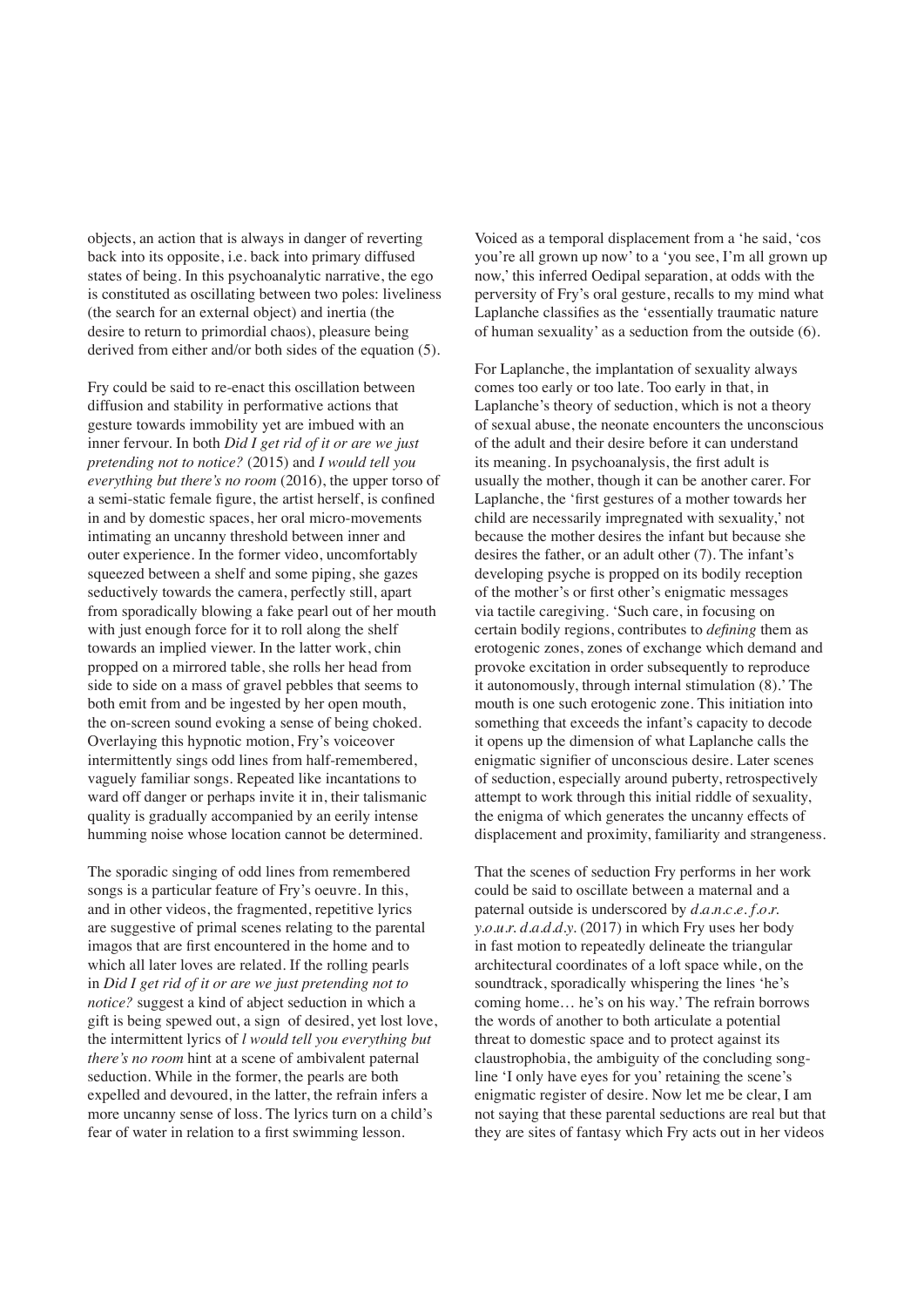objects, an action that is always in danger of reverting back into its opposite, i.e. back into primary diffused states of being. In this psychoanalytic narrative, the ego is constituted as oscillating between two poles: liveliness (the search for an external object) and inertia (the desire to return to primordial chaos), pleasure being derived from either and/or both sides of the equation (5).

Fry could be said to re-enact this oscillation between diffusion and stability in performative actions that gesture towards immobility yet are imbued with an inner fervour. In both *Did I get rid of it or are we just pretending not to notice?* (2015) and *I would tell you everything but there's no room* (2016), the upper torso of a semi-static female figure, the artist herself, is confined in and by domestic spaces, her oral micro-movements intimating an uncanny threshold between inner and outer experience. In the former video, uncomfortably squeezed between a shelf and some piping, she gazes seductively towards the camera, perfectly still, apart from sporadically blowing a fake pearl out of her mouth with just enough force for it to roll along the shelf towards an implied viewer. In the latter work, chin propped on a mirrored table, she rolls her head from side to side on a mass of gravel pebbles that seems to both emit from and be ingested by her open mouth, the on-screen sound evoking a sense of being choked. Overlaying this hypnotic motion, Fry's voiceover intermittently sings odd lines from half-remembered, vaguely familiar songs. Repeated like incantations to ward off danger or perhaps invite it in, their talismanic quality is gradually accompanied by an eerily intense humming noise whose location cannot be determined.

The sporadic singing of odd lines from remembered songs is a particular feature of Fry's oeuvre. In this, and in other videos, the fragmented, repetitive lyrics are suggestive of primal scenes relating to the parental imagos that are first encountered in the home and to which all later loves are related. If the rolling pearls in *Did I get rid of it or are we just pretending not to notice?* suggest a kind of abject seduction in which a gift is being spewed out, a sign of desired, yet lost love, the intermittent lyrics of *l would tell you everything but there's no room* hint at a scene of ambivalent paternal seduction. While in the former, the pearls are both expelled and devoured, in the latter, the refrain infers a more uncanny sense of loss. The lyrics turn on a child's fear of water in relation to a first swimming lesson.

Voiced as a temporal displacement from a 'he said, 'cos you're all grown up now' to a 'you see, I'm all grown up now,' this inferred Oedipal separation, at odds with the perversity of Fry's oral gesture, recalls to my mind what Laplanche classifies as the 'essentially traumatic nature of human sexuality' as a seduction from the outside (6).

For Laplanche, the implantation of sexuality always comes too early or too late. Too early in that, in Laplanche's theory of seduction, which is not a theory of sexual abuse, the neonate encounters the unconscious of the adult and their desire before it can understand its meaning. In psychoanalysis, the first adult is usually the mother, though it can be another carer. For Laplanche, the 'first gestures of a mother towards her child are necessarily impregnated with sexuality,' not because the mother desires the infant but because she desires the father, or an adult other (7). The infant's developing psyche is propped on its bodily reception of the mother's or first other's enigmatic messages via tactile caregiving. 'Such care, in focusing on certain bodily regions, contributes to *defining* them as erotogenic zones, zones of exchange which demand and provoke excitation in order subsequently to reproduce it autonomously, through internal stimulation (8).' The mouth is one such erotogenic zone. This initiation into something that exceeds the infant's capacity to decode it opens up the dimension of what Laplanche calls the enigmatic signifier of unconscious desire. Later scenes of seduction, especially around puberty, retrospectively attempt to work through this initial riddle of sexuality, the enigma of which generates the uncanny effects of displacement and proximity, familiarity and strangeness.

That the scenes of seduction Fry performs in her work could be said to oscillate between a maternal and a paternal outside is underscored by *d.a.n.c.e. f.o.r. y.o.u.r. d.a.d.d.y.* (2017) in which Fry uses her body in fast motion to repeatedly delineate the triangular architectural coordinates of a loft space while, on the soundtrack, sporadically whispering the lines 'he's coming home… he's on his way.' The refrain borrows the words of another to both articulate a potential threat to domestic space and to protect against its claustrophobia, the ambiguity of the concluding songline 'I only have eyes for you' retaining the scene's enigmatic register of desire. Now let me be clear, I am not saying that these parental seductions are real but that they are sites of fantasy which Fry acts out in her videos